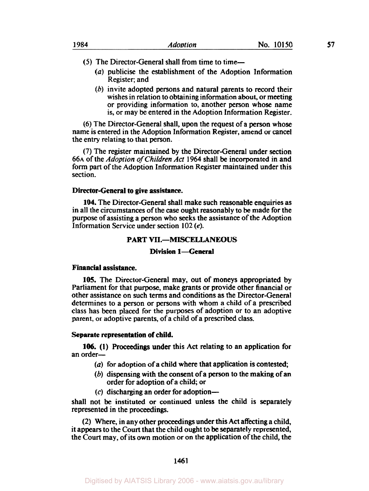- *(5)* The Director-General shall from time to time-
	- *(a)* publicise the establishment of the Adoption Information Register; and
	- (b) invite adopted persons and natural parents to record their wishes in relation to obtaining information about, or meeting or providing information to, another person whose name is, or may be entered in the Adoption Information Register.

**(6)** The Director-General shall, upon the request of a person whose name is entered in the Adoption Information Register, amend or cancel the entry relating to that person.

**(7)** The register maintained by the Director-General under section **66A** of the *Adoption* of *Children Act* **1964** shall be incorporated in and form part of the Adoption Information Register maintained under this section.

# **Director-General to give assistance.**

**104.** The Director-General shall make such reasonable enquiries as in all the circumstances of the *case* ought reasonably to be made for the purpose of assisting a person who **seeks** the assistance of the Adoption Information Service under section 102 *(e).* 

# **PART VII.-MISCELLANEOUS**

# **Division 1-General**

## **Financial assistance.**

**105.** The Director-General may, out of moneys appropriated by Parliament for that purpose, make grants or provide other financial or other assistance on such terms and conditions as the Director-General determines to a person or persons with whom a child of a prescribed class has been placed for the purposes of adoption or to an adoptive parent, or adoptive parents, of a child of a prescribed class.

## **Separate representation of child.**

an order-**106. (1)** Proceedings under this Act relating to an application for

- *(a)* for adoption of a child where that application is contested,
- (b) dispensing with **the** consent of a person to the making of an order for adoption of a child; or
- $(c)$  discharging an order for adoption-

shall not be instituted or continued unless the child is separately represented in the proceedings.

(2) Where, in any other proceedings under this Act affecting a child, it appears to the Court that the child ought to be separately represented, the Court may, of its **own** motion or on the application of the child, the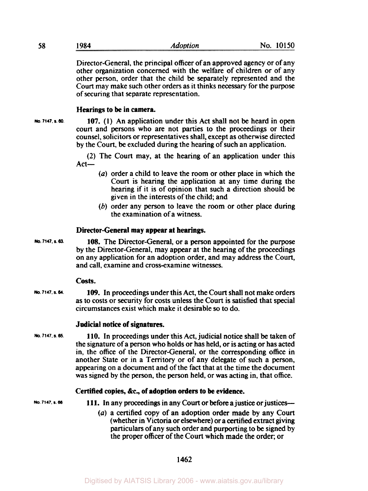| 58 | 1984 | <b>Adoption</b> | No. 10150 |
|----|------|-----------------|-----------|
|    |      |                 |           |

Director-General, the principal officer of an approved agency or of any other organization concerned with the welfare of children or of any other person, order that the child be separately represented and the Court may make such other orders as it thinks necessary for the purpose of securing that separate representation.

## **Hearings to be in camera.**

**No 7147. S. 60.** 

**107. (1)** An application under this Act shall not be heard in open court and persons who are not parties to the proceedings or their counsel, solicitors or representatives shall, except as otherwise directed by the Court, **be** excluded during the hearing of such an application.

(2) The Court may, at the hearing of an application under this  $Act-$ 

- $(a)$  order a child to leave the room or other place in which the Court is hearing the application at any time during the hearing if it is of opinion that such a direction should be given in the interests of the child; and
- *(b)* order any person to leave the room or other place during the examination of a witness.

## **Director-General may appear at hearings.**

**108.** The Director-General, or a person appointed for the purpose by the Director-General, may appear at the hearing of the proceedings on any application for an adoption order, and may address the Court, and call, examine and cross-examine witnesses. **No. 7147. S. a.** 

## *Costs.*

**109.** In proceedings under this Act, the Court shall not make orders as to costs or security for costs unless the Court is satisfied that special circumstances exist which make it desirable **so** to do. **No. 7147. S. 64.** 

## **Judicial notice of signatures.**

**110.** In proceedings under this Act, judicial notice shall be taken of the signature of a person who holds or has held, or is acting or has acted in, the office of the Director-General, or the corresponding office in another State or in a Territory or of any delegate of such a person, appearing on a document and of the fact that at the time the document was signed by the person, the person held, or was acting in, that office. **No. 7147. S 6s.** 

# **Certified copies, &c., of adoption orders to be evidence.**

No. 7147, s. 66 **111.** In any proceedings in any Court or before a justice or justices-

(a) a certified copy of an adoption order made by any Court (whether in Victoria or elsewhere) or a certified extract giving particulars of any such order and purporting to **be** signed by the proper officer of the Court which made the order; or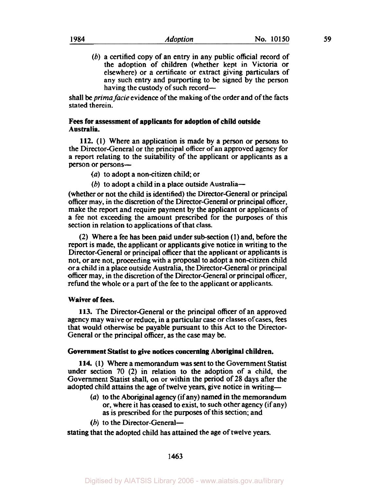(b) a certified copy of an entry in any public official record of the adoption of children (whether kept in Victoria or elsewhere) or a certificate or extract giving particulars of any such entry and purporting to be signed by the person having the custody of such record—

shall be *prima facie* evidence of the making of the order and of the facts stated therein.

# **Fees for assessment of applicants for adoption of child outside Australia.**

**112. (1)** Where an application is made by a person or persons to the Director-General or the principal officer of an approved agency for a report relating to the suitability of the applicant or applicants as a person or persons-

*(a)* to adopt a non-citizen child; or

(b) to adopt a child in a place outside Australia-

(whether or not the child is identified) the Director-General or principal officer may, in the discretion of the Director-General or principal officer, make the report and require payment by the applicant or applicants of a fee not exceeding the amount prescribed for the purposes of this section in relation to applications of that class.

(2) Where a fee has been paid under sub-section **(1)** and, before the report is made, the applicant or applicants give notice in writing to the Director-General or principal officer that the applicant or applicants is not, or are not, proceeding with a proposal to adopt a non-citizen child or a child in a place outside Australia, the Director-General or principal officer may, in the discretion of the Director-General or principal officer, refund the whole or a part of the fee to the applicant or applicants.

## **Waiver of fees.**

**113.** The Director-General or the principal officer of an approved agency may waive or reduce, in a particular case or classes of cases, fees that would otherwise be payable pursuant to this Act to the Director-General or the principal officer, as the case may be.

## **Government Statist to give notices concerning Aboriginal children.**

**114. (1)** Where a memorandum was sent to the Government Statist under section 70 (2) in relation to the adoption of a child, the Government Statist shall, on or within the period of 28 days after the adopted child attains the age of twelve years, give notice in writing-

- *(a)* to the Aboriginal agency (if any) named in the memorandum **or,** where it has ceased to exist, to such other agency (if any) as is prescribed for the purposes of this section; and
- $(b)$  to the Director-General--

stating that the adopted child has attained the age of twelve years.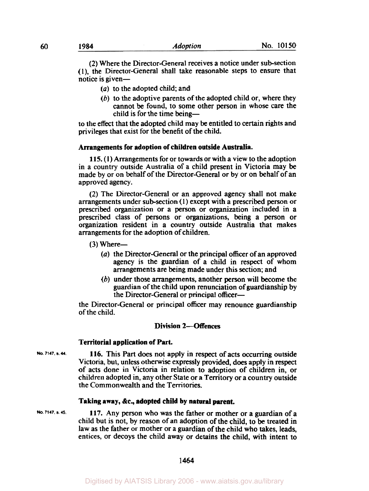(2) Where the Director-General receives a notice under sub-section **(l),** the Director-General shall take reasonable steps to ensure that notice is given-

- *(a)* to the adopted child; and
- *(b)* to the adoptive parents of the adopted child or, where they cannot be found, to some other person in whose care the child is for the time being-

to the effect that the adopted child may be entitled to certain rights and privileges that exist for the benefit of the child.

#### **Arrangements for adoption of children outside Australia.**

**115. (I)** Arrangements for or towards or with a view to the adoption in a country outside Australia of a child present in Victoria may be made by or on behalf of the Director-General or by or on behalf of an approved agency.

(2) The Director-General or an approved agency shall not make arrangements under subsection **(1)** except with a prescribed person or prescribed organization or a person or organization included in a prescribed class of persons or organizations, being a person or organization resident in a country outside Australia that makes arrangements for the adoption of children.

 $(3)$  Where-

- *(a)* the Director-General or the principal officer of an approved agency is the guardian of a child in respect of whom arrangements are being made under this section; and
- (b) under those arrangements, another person will become the guardian of the child upon renunciation of guardianship by the Director-General or principal officer-

the Director-General or principal officer may renounce guardianship of the child.

# **Division 2-Offences**

#### **Territorial application of Part.**

**116.** This Part does not apply in respect of acts occurring outside Victoria, but, unless otherwise expressly provided, does apply in respect of acts done in Victoria in relation to adoption of children in, or children adopted in, any other State or a Territory or a country outside the Commonwealth and the Territories. **No. 7147. S. 44.** 

#### **Taking away, &c., adopted child by natural parent.**

**117.** Any person who was the father or mother or a guardian of a child but is not, by reason of an adoption of the child, to be treated in law as the father or mother or a guardian of the child who takes, leads, entices, or decoys the child away or detains the child, with intent to **No. 7147. S. 45.**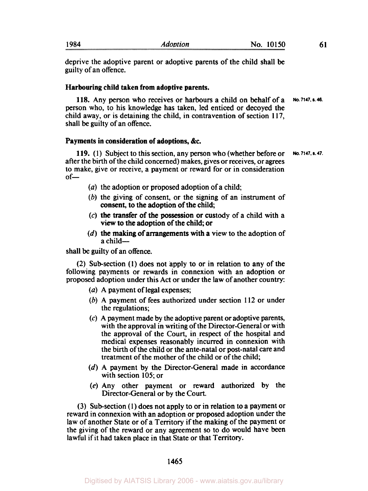| 1984 | <i><b>Adoption</b></i> | 10150<br>No. |  |
|------|------------------------|--------------|--|
|      |                        |              |  |

deprive the adoptive parent or adoptive parents of the child shall be guilty of an offence.

### **Harbouring child taken from adoptive parents.**

118. Any person who receives or harbours a child on behalf of a person who, to his knowledge has taken, led enticed or decoyed the child away, or is detaining the child, in contravention of section I **17,**  shall be guilty of an offence. **No. 7147. s.43.** 

## **Payments in consideration of adoptions, &c.**

**119. (1)** Subject to this section, any person who (whether before or after the birth of the child concerned) makes, gives or receives, or agrees to make, give or receive, a payment or reward for or in consideration  $of-$ **No. 7147. s. 47.** 

- *(a)* the adoption or proposed adoption of a child
- (b) the giving of consent, or the signing of an instrument of consent, to the adoption of the child;
- **(c)** the transfer of the possession or custody of a child with a view to the adoption of the child; or
- $(d)$  the making of arrangements with a view to the adoption of a child-

shall be guilty of an offence.

**(2)** Sub-section **(1)** does not apply to or in relation to any of the following payments or rewards in connexion with an adoption or proposed adoption under this Act or under the law of another country:

- *(a)* A payment of legal expenses;
- (b) A payment of fees authorized under section **112** or under the regulations;
- **(c)** A payment made by the adoptive parent or adoptive parents, with the approval in writing of the Director-General or with the approval of the Court, in respect of the hospital and medical expenses reasonably incurred in connexion with the birth of the child or the ante-natal or post-natal care and treatment of the mother of the child or of the child;
- (d) A payment by the Director-General made in accordance with section **105;** or
- **(e)** Any other payment or reward authorized by the Director-General or by the Court.

(3) Sub-section (I) does not apply to or in relation to a payment or reward in connexion with an adoption or proposed adoption under the law of another State or of a Territory if the making of the payment or the giving of the reward or any agreement **so** to do would have been lawful if it had taken place in that State or that Territory.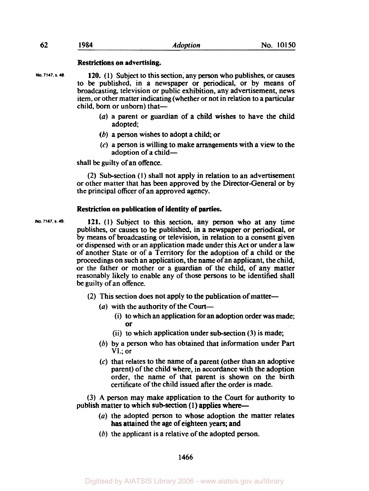#### **Restrictions on advertising.**

- **120.** (1) Subject to this section, any person who publishes, or causes to be published, in a newspaper or periodical, or by means of broadcasting, television or public exhibition, any advertisement, news item, or other matter indicating (whether or not in relation to a particular child, born or unborn) that-**No. 7147, S. 48.** 
	- *(a)* a parent or guardian of a child wishes to have the child adopted;
	- (b) a person wishes to adopt a child; or
	- (c) a person is willing to make arrangements with a view to the adoption of a child-

shall be guilty of an offence.

(2) Subsection **(1)** shall not apply in relation to an advertisement or other matter that has been approved by the Director-General or by the principal officer of an approved agency.

#### **Restriction on publication of identity of parties.**

- **121.** (1) Subject to this section, any person who at any time publishes, or causes to be published, in a newspaper or periodical, or by means of broadcasting or television, in relation to a consent given or dispensed with or an application made under this Act or under a law of another State or of a Territory for the adoption of a child or the proceedings on such an application, the name of an applicant, the child, or the father or mother or a guardian of the child, of any matter reasonably likely to enable any of those persons **to** be identified shall be guilty of an offence. **No. 7147. S. 49.** 
	- (2) This section does not apply to the publication of matter-
		- (*a*) with the authority of the Court-
			- (i) to which an application for an adoption order was made; **or**
			- (ii) to which application under sub-section  $(3)$  is made;
		- (b) by a person who has obtained that information under Part VI.; or
		- (c) that relates to the name of a parent (other than an adoptive parent) of the child where, in accordance with the adoption order, the name of that parent is shown on the birth certificate of the child issued after the order is made.

(3) **A** person may make application to the Court for authority to publish matter to which sub-section (1) applies where-

- *(a)* the adopted person to whose adoption the matter relates has attained the age of eighteen years; and
- (b) the applicant is a relative of the adopted person.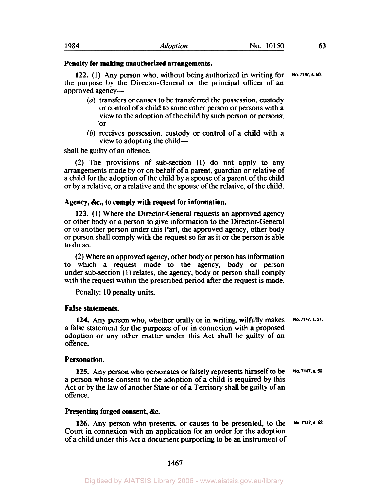## **Penalty for making unauthorized arrangements.**

**122.** (1) Any person who, without being authorized in writing for the purpose by the Director-General or the principal **officer** of an approved agency-**No. 7147. s. 50.** 

- *(a)* transfers or causes to be transferred the possession, custody or control of a child to some other person or persons with a view to the adoption of the child by such person or persons; **or**
- *(b)* receives possession, custody or control of a child with a view to adopting the child-

shall be guilty of an offence.

(2) The provisions of subsection (1) do not apply to any arrangements made by or on behalf of a parent, guardian or relative of a child for the adoption of the child by a spouse of a parent of the child or by a relative, or a relative and the spouse of the relative, of the child.

#### **Agency, &c., to comply with request for information.**

**123. (1)** Where the Director-General requests an approved agency or other body or a person to give information to the Director-General or to another person under this Part, the approved agency, other body or person shall comply with the request so far as it or the person is able to do so.

(2) Where an approved agency, other body or person has information to which a request made to the agency, body or person under sub-section (1) relates, the agency, body or person shall comply with the request within the prescribed period after the request is made.

Penalty: 10 penalty units.

## **False statements.**

**124.** Any person who, whether orally or in writing, wilfully makes a false statement for the purposes of or in connexion with a proposed adoption or any other matter under this Act shall be guilty of an offence. **No. 7147, s. 51.** 

#### **Personation.**

**125.** Any person who personates or falsely represents himself to be a person whose consent to the adoption of a child is required by this Act or by the law of another State or of a Territory shall be guilty of an offence. **No. 7147. s. 52.** 

### **Presenting forged consent, &c.**

**126.** Any person who presents, or causes to be presented, to the Court in connexion with an application for an order for the adoption of a child under this Act a document purporting to be an instrument of **No. 7147, s. 53.**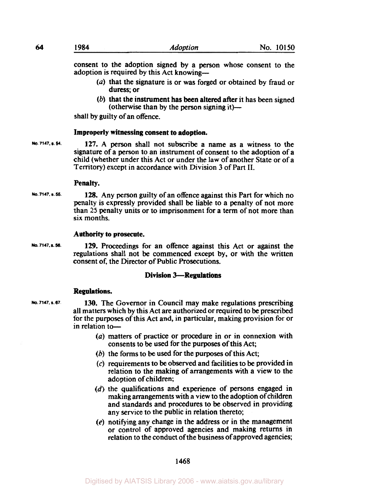consent to the adoption signed by a person whose consent to the adoption is required by this Act knowing—

- *(a)* that the signature is or was forged or obtained by fraud or duress; or
- *(b)* that the instrument has been altered after it has been signed (otherwise than by the person signing it)— $-$

shall by guilty of an offence.

#### **Improperly witnessing consent to adoption.**

**No. 7147. s. 54. 127.** A person shall not subscribe a name as a witness to the signature of a person to an instrument of consent to the adoption of a child (whether under this Act or under the law of another State or of a Territory) except in accordance with Division 3 of Part **II.** 

#### **Penalty.**

**128.** Any person guilty of an offence against this Part for which no penalty is expressly provided shall be liable to a penalty of not more than **25** penalty units or to imprisonment for a term of not more than six months. **No. 7147. S.** *56.* 

# **Authority to prosecute.**

**129.** Proceedings for an offence against this Act or against the regulations shall not be commenced except by, or with the written consent of, the Director of Public Prosecutions. **No. 7147. S. 56.** 

## **Division 3-Regulations**

#### **Regulations.**

**No. 7147. s.67.** 

**130.** The Governor in Council may make regulations prescribing all matters which by this Act are authorized or required to be prescribed for the purposes of this Act and, in particular, making provision for or in relation to-

- *(a)* matters of practice or procedure in or in connexion with consents to be used for the purposes of this Act;
- *(b)* the forms to be used for the purposes of this Act;
- (c) requirements to be observed and facilities **to** be provided in relation to the making of arrangements with a view to the adoption of children;
- (d) the qualifications and experience of persons engaged in making arrangements with a view to the adoption of children and standards and procedures to be observed in providing any service to the public in relation thereto;
- **(e)** notifying any change in the address or in the management or control of approved agencies and making returns in relation to the conduct of the business of approved agencies;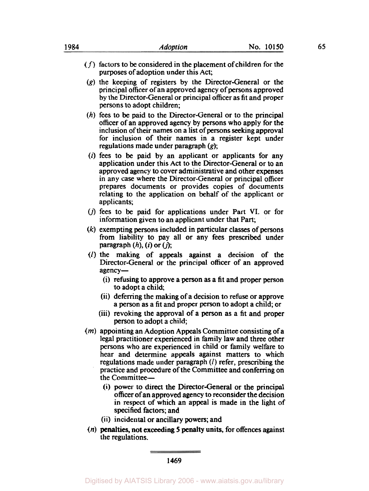- $(f)$  factors to be considered in the placement of children for the purposes of adoption under this Act;
- *(g)* the keeping of registers by the Director-General or the principal officer of an approved agency of persons approved by the Director-General or principal officer as fit and proper persons to adopt children;
- *(h)* fees to be paid to the Director-General or to the principal officer of an approved agency by persons who apply for the inclusion of their names on a list of persons seeking approval for inclusion of their names in a register kept under regulations made under paragraph  $(g)$ ;
- *(i)* fees to be paid by an applicant or applicants for any application under this Act to the Director-General or to an approved agency to cover administrative and other expenses in any case where the Director-General or principal officer prepares documents or provides copies of documents relating to the application on behalf of the applicant or applicants;
- *(j)* fees to be paid for applications under Part VI. or for information given to an applicant under that Part;
- *(k)* exempting persons included in particular classes of persons from liability to pay all or any fees prescribed under  $\text{pargraph } (h)$ ,  $(i)$  or  $(j)$ ;
- *(I)* the making of appeals against a decision of the Director-General or the principal officer of an approved agency-
	- (i) refusing to approve a person as a fit and proper person to adopt a child;
	- (ii) deferring the making of a decision to refuse or approve a person as a fit and proper person to adopt a child; or
	- (iii) revoking the approval of a person **as** a fit and proper person to adopt a child;
- *(m)* appointing an Adoption Appeals Committee consisting of a legal practitioner experienced in family law and three other persons who are experienced in child or family welfare to hear and determine appeals against matters to which regulations made under paragraph *(I)* refer, prescribing the practice and procedure of the Committee and conferring on the Committee-
	- (i) power to direct the Director-General or the principal officer of an approved agency to reconsider the decision in respect of which an appeal is made in the light of specified factors; and
	- (ii) incidental **or** ancillary powers; and
- the regulations. *(n)* penalties, not exceeding **5** penalty units, for offences against